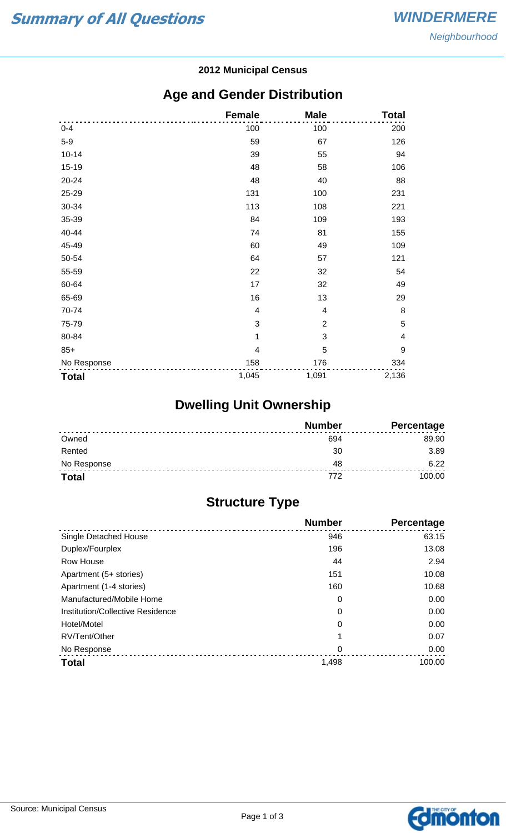#### **2012 Municipal Census**

## **Age and Gender Distribution**

|              | <b>Female</b>  | <b>Male</b>    | <b>Total</b>            |
|--------------|----------------|----------------|-------------------------|
| $0 - 4$      | 100            | 100            | 200                     |
| $5-9$        | 59             | 67             | 126                     |
| $10 - 14$    | 39             | 55             | 94                      |
| 15-19        | 48             | 58             | 106                     |
| 20-24        | 48             | 40             | 88                      |
| 25-29        | 131            | 100            | 231                     |
| 30-34        | 113            | 108            | 221                     |
| 35-39        | 84             | 109            | 193                     |
| 40-44        | 74             | 81             | 155                     |
| 45-49        | 60             | 49             | 109                     |
| 50-54        | 64             | 57             | 121                     |
| 55-59        | 22             | 32             | 54                      |
| 60-64        | 17             | 32             | 49                      |
| 65-69        | 16             | 13             | 29                      |
| 70-74        | $\overline{4}$ | 4              | 8                       |
| 75-79        | 3              | $\overline{2}$ | 5                       |
| 80-84        | 1              | 3              | $\overline{\mathbf{4}}$ |
| $85+$        | 4              | 5              | $\boldsymbol{9}$        |
| No Response  | 158            | 176            | 334                     |
| <b>Total</b> | 1,045          | 1,091          | 2,136                   |

# **Dwelling Unit Ownership**

|              | <b>Number</b> | <b>Percentage</b> |
|--------------|---------------|-------------------|
| Owned        | 694           | 89.90             |
| Rented       | 30            | 3.89              |
| No Response  | 48            | 6.22              |
| <b>Total</b> | 772           | 100.00            |

# **Structure Type**

|                                  | <b>Number</b> | Percentage |
|----------------------------------|---------------|------------|
| <b>Single Detached House</b>     | 946           | 63.15      |
| Duplex/Fourplex                  | 196           | 13.08      |
| Row House                        | 44            | 2.94       |
| Apartment (5+ stories)           | 151           | 10.08      |
| Apartment (1-4 stories)          | 160           | 10.68      |
| Manufactured/Mobile Home         | 0             | 0.00       |
| Institution/Collective Residence | 0             | 0.00       |
| Hotel/Motel                      | 0             | 0.00       |
| RV/Tent/Other                    |               | 0.07       |
| No Response                      | 0             | 0.00       |
| <b>Total</b>                     | 1,498         | 100.00     |

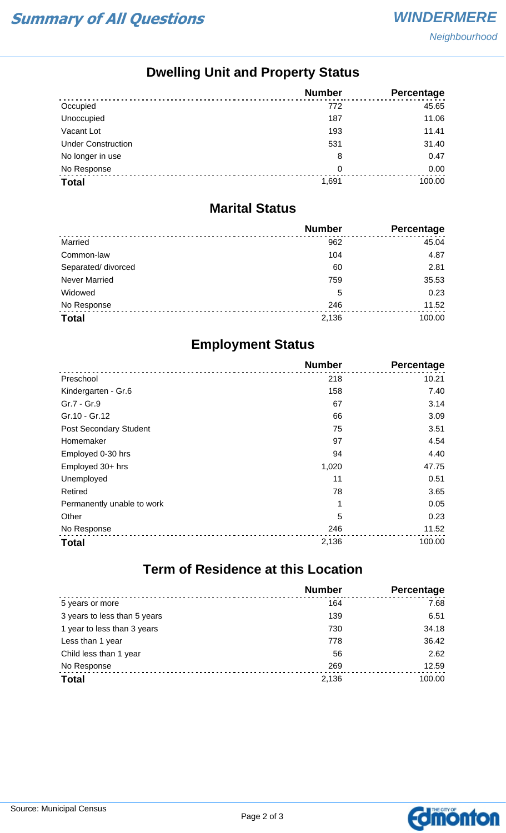**Neighbourhood** 

## **Dwelling Unit and Property Status**

|                           | <b>Number</b> | <b>Percentage</b> |
|---------------------------|---------------|-------------------|
| Occupied                  | 772           | 45.65             |
| Unoccupied                | 187           | 11.06             |
| Vacant Lot                | 193           | 11.41             |
| <b>Under Construction</b> | 531           | 31.40             |
| No longer in use          | 8             | 0.47              |
| No Response               | 0             | 0.00              |
| <b>Total</b>              | 1.691         | 100.00            |

#### **Marital Status**

|                      | <b>Number</b> | <b>Percentage</b> |
|----------------------|---------------|-------------------|
| Married              | 962           | 45.04             |
| Common-law           | 104           | 4.87              |
| Separated/ divorced  | 60            | 2.81              |
| <b>Never Married</b> | 759           | 35.53             |
| Widowed              | 5             | 0.23              |
| No Response          | 246           | 11.52             |
| <b>Total</b>         | 2,136         | 100.00            |

### **Employment Status**

|                            | <b>Number</b> | <b>Percentage</b> |
|----------------------------|---------------|-------------------|
| Preschool                  | 218           | 10.21             |
| Kindergarten - Gr.6        | 158           | 7.40              |
| Gr.7 - Gr.9                | 67            | 3.14              |
| Gr.10 - Gr.12              | 66            | 3.09              |
| Post Secondary Student     | 75            | 3.51              |
| Homemaker                  | 97            | 4.54              |
| Employed 0-30 hrs          | 94            | 4.40              |
| Employed 30+ hrs           | 1,020         | 47.75             |
| Unemployed                 | 11            | 0.51              |
| Retired                    | 78            | 3.65              |
| Permanently unable to work | 1             | 0.05              |
| Other                      | 5             | 0.23              |
| No Response                | 246           | 11.52             |
| <b>Total</b>               | 2,136         | 100.00            |

# **Term of Residence at this Location**

|                              | <b>Number</b> | Percentage |
|------------------------------|---------------|------------|
| 5 years or more              | 164           | 7.68       |
| 3 years to less than 5 years | 139           | 6.51       |
| 1 year to less than 3 years  | 730           | 34.18      |
| Less than 1 year             | 778           | 36.42      |
| Child less than 1 year       | 56            | 2.62       |
| No Response                  | 269           | 12.59      |
| <b>Total</b>                 | 2,136         | 100.00     |